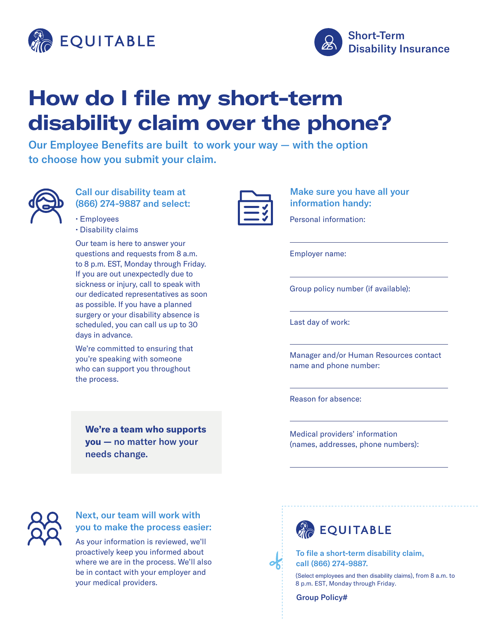



# **How do I file my short-term disability claim over the phone?**

Our Employee Benefits are built to work your way — with the option to choose how you submit your claim.



### Call our disability team at (866) 274-9887 and select:

| $\cdot$ Employees   |
|---------------------|
| • Disability claims |

Our team is here to answer your questions and requests from 8 a.m. to 8 p.m. EST, Monday through Friday. If you are out unexpectedly due to sickness or injury, call to speak with our dedicated representatives as soon as possible. If you have a planned surgery or your disability absence is scheduled, you can call us up to 30 days in advance.

We're committed to ensuring that you're speaking with someone who can support you throughout the process.

**We're a team who supports you —** no matter how your needs change.

Make sure you have all your information handy:

Personal information:

Employer name:

Group policy number (if available):

Last day of work:

Manager and/or Human Resources contact name and phone number:

Reason for absence:

Medical providers' information (names, addresses, phone numbers):



## Next, our team will work with you to make the process easier:

As your information is reviewed, we'll proactively keep you informed about where we are in the process. We'll also be in contact with your employer and your medical providers.





To file a short-term disability claim, call (866) 274-9887.

(Select employees and then disability claims), from 8 a.m. to 8 p.m. EST, Monday through Friday.

Group Policy#